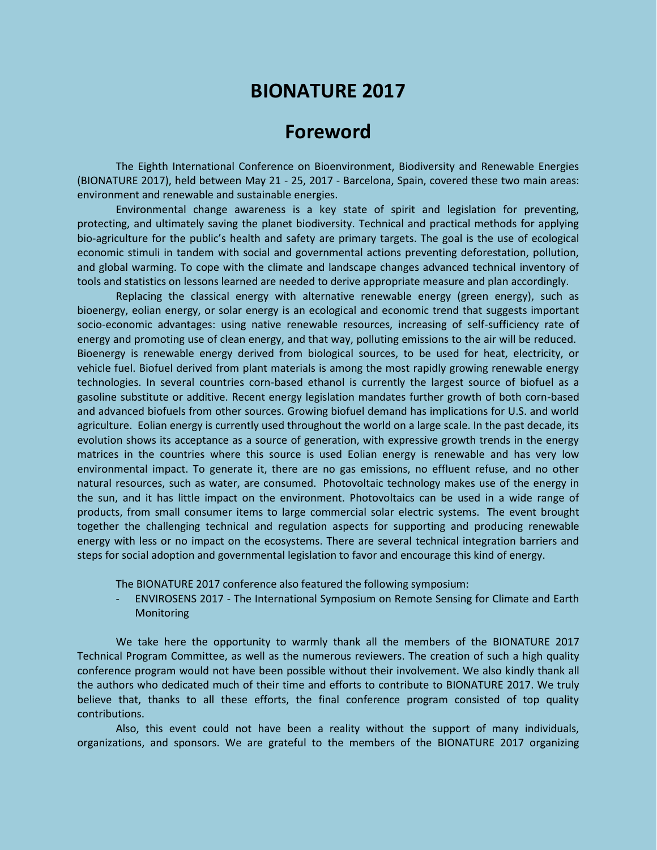## **BIONATURE 2017**

## **Foreword**

The Eighth International Conference on Bioenvironment, Biodiversity and Renewable Energies (BIONATURE 2017), held between May 21 - 25, 2017 - Barcelona, Spain, covered these two main areas: environment and renewable and sustainable energies.

Environmental change awareness is a key state of spirit and legislation for preventing, protecting, and ultimately saving the planet biodiversity. Technical and practical methods for applying bio-agriculture for the public's health and safety are primary targets. The goal is the use of ecological economic stimuli in tandem with social and governmental actions preventing deforestation, pollution, and global warming. To cope with the climate and landscape changes advanced technical inventory of tools and statistics on lessons learned are needed to derive appropriate measure and plan accordingly.

Replacing the classical energy with alternative renewable energy (green energy), such as bioenergy, eolian energy, or solar energy is an ecological and economic trend that suggests important socio-economic advantages: using native renewable resources, increasing of self-sufficiency rate of energy and promoting use of clean energy, and that way, polluting emissions to the air will be reduced. Bioenergy is renewable energy derived from biological sources, to be used for heat, electricity, or vehicle fuel. Biofuel derived from plant materials is among the most rapidly growing renewable energy technologies. In several countries corn-based ethanol is currently the largest source of biofuel as a gasoline substitute or additive. Recent energy legislation mandates further growth of both corn-based and advanced biofuels from other sources. Growing biofuel demand has implications for U.S. and world agriculture. Eolian energy is currently used throughout the world on a large scale. In the past decade, its evolution shows its acceptance as a source of generation, with expressive growth trends in the energy matrices in the countries where this source is used Eolian energy is renewable and has very low environmental impact. To generate it, there are no gas emissions, no effluent refuse, and no other natural resources, such as water, are consumed. Photovoltaic technology makes use of the energy in the sun, and it has little impact on the environment. Photovoltaics can be used in a wide range of products, from small consumer items to large commercial solar electric systems. The event brought together the challenging technical and regulation aspects for supporting and producing renewable energy with less or no impact on the ecosystems. There are several technical integration barriers and steps for social adoption and governmental legislation to favor and encourage this kind of energy.

The BIONATURE 2017 conference also featured the following symposium:

- ENVIROSENS 2017 - The International Symposium on Remote Sensing for Climate and Earth **Monitoring** 

We take here the opportunity to warmly thank all the members of the BIONATURE 2017 Technical Program Committee, as well as the numerous reviewers. The creation of such a high quality conference program would not have been possible without their involvement. We also kindly thank all the authors who dedicated much of their time and efforts to contribute to BIONATURE 2017. We truly believe that, thanks to all these efforts, the final conference program consisted of top quality contributions.

Also, this event could not have been a reality without the support of many individuals, organizations, and sponsors. We are grateful to the members of the BIONATURE 2017 organizing